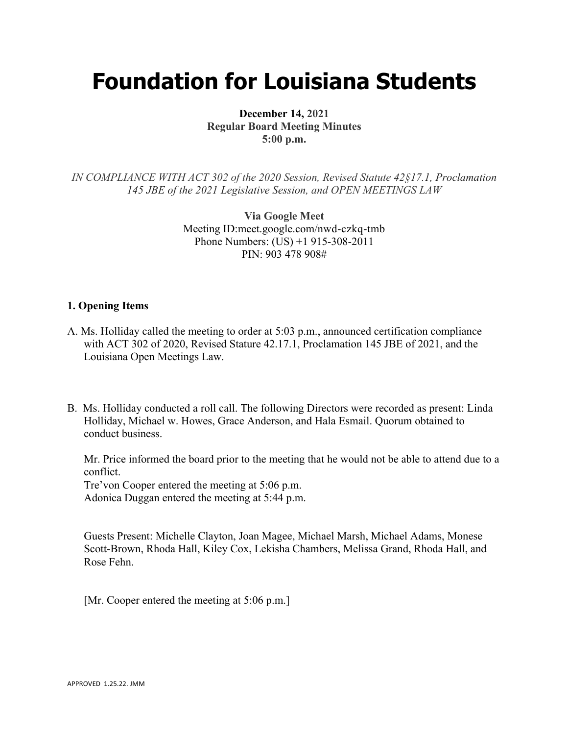# **Foundation for Louisiana Students**

**December 14, 2021 Regular Board Meeting Minutes 5:00 p.m.**

*IN COMPLIANCE WITH ACT 302 of the 2020 Session, Revised Statute 42§17.1, Proclamation 145 JBE of the 2021 Legislative Session, and OPEN MEETINGS LAW*

> **Via Google Meet**  Meeting ID:meet.google.com/nwd-czkq-tmb Phone Numbers: (US) +1 915-308-2011 PIN: 903 478 908#

### **1. Opening Items**

- A. Ms. Holliday called the meeting to order at 5:03 p.m., announced certification compliance with ACT 302 of 2020, Revised Stature 42.17.1, Proclamation 145 JBE of 2021, and the Louisiana Open Meetings Law.
- B. Ms. Holliday conducted a roll call. The following Directors were recorded as present: Linda Holliday, Michael w. Howes, Grace Anderson, and Hala Esmail. Quorum obtained to conduct business.

Mr. Price informed the board prior to the meeting that he would not be able to attend due to a conflict.

Tre'von Cooper entered the meeting at 5:06 p.m.

Adonica Duggan entered the meeting at 5:44 p.m.

Guests Present: Michelle Clayton, Joan Magee, Michael Marsh, Michael Adams, Monese Scott-Brown, Rhoda Hall, Kiley Cox, Lekisha Chambers, Melissa Grand, Rhoda Hall, and Rose Fehn.

[Mr. Cooper entered the meeting at 5:06 p.m.]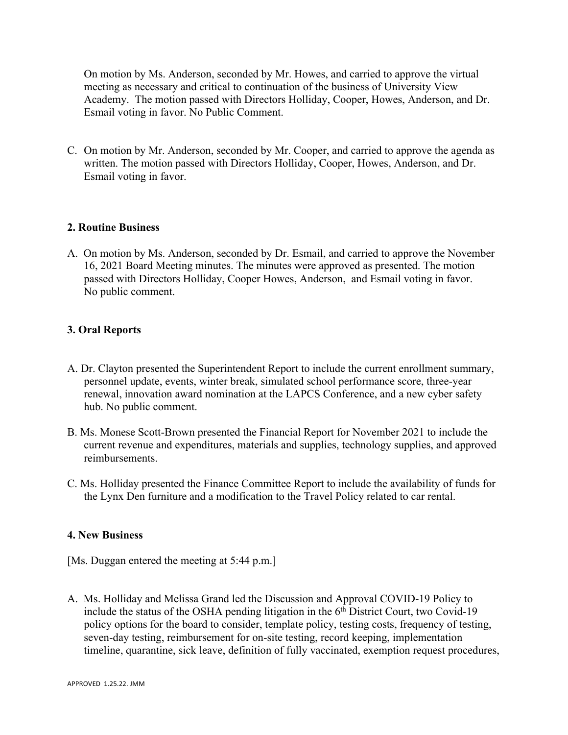On motion by Ms. Anderson, seconded by Mr. Howes, and carried to approve the virtual meeting as necessary and critical to continuation of the business of University View Academy. The motion passed with Directors Holliday, Cooper, Howes, Anderson, and Dr. Esmail voting in favor. No Public Comment.

C. On motion by Mr. Anderson, seconded by Mr. Cooper, and carried to approve the agenda as written. The motion passed with Directors Holliday, Cooper, Howes, Anderson, and Dr. Esmail voting in favor.

### **2. Routine Business**

A. On motion by Ms. Anderson, seconded by Dr. Esmail, and carried to approve the November 16, 2021 Board Meeting minutes. The minutes were approved as presented. The motion passed with Directors Holliday, Cooper Howes, Anderson, and Esmail voting in favor. No public comment.

### **3. Oral Reports**

- A. Dr. Clayton presented the Superintendent Report to include the current enrollment summary, personnel update, events, winter break, simulated school performance score, three-year renewal, innovation award nomination at the LAPCS Conference, and a new cyber safety hub. No public comment.
- B. Ms. Monese Scott-Brown presented the Financial Report for November 2021 to include the current revenue and expenditures, materials and supplies, technology supplies, and approved reimbursements.
- C. Ms. Holliday presented the Finance Committee Report to include the availability of funds for the Lynx Den furniture and a modification to the Travel Policy related to car rental.

#### **4. New Business**

[Ms. Duggan entered the meeting at 5:44 p.m.]

A. Ms. Holliday and Melissa Grand led the Discussion and Approval COVID-19 Policy to include the status of the OSHA pending litigation in the  $6<sup>th</sup>$  District Court, two Covid-19 policy options for the board to consider, template policy, testing costs, frequency of testing, seven-day testing, reimbursement for on-site testing, record keeping, implementation timeline, quarantine, sick leave, definition of fully vaccinated, exemption request procedures,